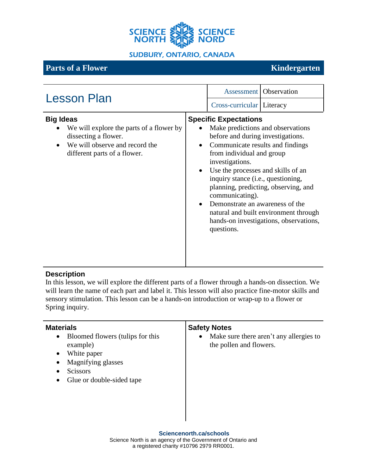

Τ

# **Parts** of a Flower Kindergarten

T

| <b>Lesson Plan</b>                                                                                                                                     | <b>Assessment</b>   Observation                                                                                                                                                                                                                                                                                                                                                                                                                                                                              |
|--------------------------------------------------------------------------------------------------------------------------------------------------------|--------------------------------------------------------------------------------------------------------------------------------------------------------------------------------------------------------------------------------------------------------------------------------------------------------------------------------------------------------------------------------------------------------------------------------------------------------------------------------------------------------------|
|                                                                                                                                                        | Cross-curricular Literacy                                                                                                                                                                                                                                                                                                                                                                                                                                                                                    |
| <b>Big Ideas</b><br>We will explore the parts of a flower by<br>dissecting a flower.<br>We will observe and record the<br>different parts of a flower. | <b>Specific Expectations</b><br>Make predictions and observations<br>before and during investigations.<br>Communicate results and findings<br>$\bullet$<br>from individual and group<br>investigations.<br>Use the processes and skills of an<br>$\bullet$<br>inquiry stance (i.e., questioning,<br>planning, predicting, observing, and<br>communicating).<br>Demonstrate an awareness of the<br>$\bullet$<br>natural and built environment through<br>hands-on investigations, observations,<br>questions. |

#### **Description**

In this lesson, we will explore the different parts of a flower through a hands-on dissection. We will learn the name of each part and label it. This lesson will also practice fine-motor skills and sensory stimulation. This lesson can be a hands-on introduction or wrap-up to a flower or Spring inquiry.

| <b>Materials</b><br><b>Safety Notes</b><br>Bloomed flowers (tulips for this<br>$\bullet$<br>$\bullet$<br>example)<br>White paper<br>$\bullet$<br>Magnifying glasses<br>$\bullet$<br><b>Scissors</b><br>٠<br>Glue or double-sided tape<br>$\bullet$ | Make sure there aren't any allergies to<br>the pollen and flowers. |
|----------------------------------------------------------------------------------------------------------------------------------------------------------------------------------------------------------------------------------------------------|--------------------------------------------------------------------|
|----------------------------------------------------------------------------------------------------------------------------------------------------------------------------------------------------------------------------------------------------|--------------------------------------------------------------------|